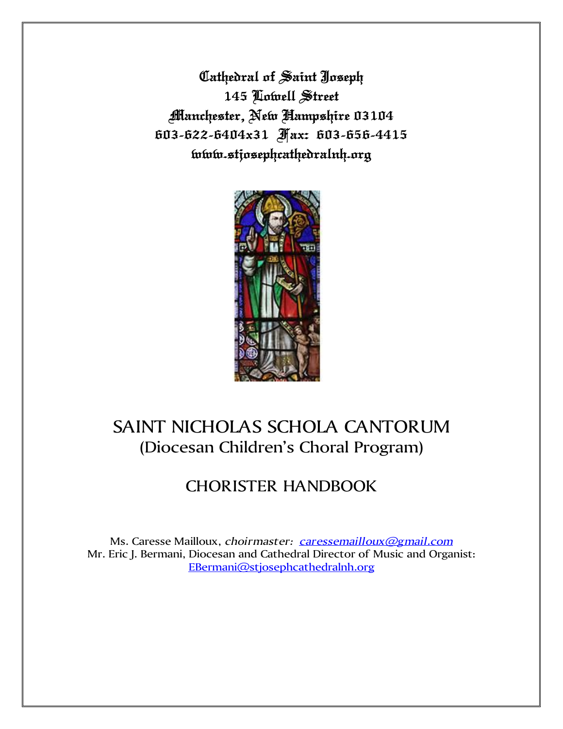**Cathedral of Saint Joseph 145 Lowell Street Manchester, New Hampshire 03104 603-622-6404x31 Fax: 603-656-4415 www.stjosephcathedralnh.org**



# SAINT NICHOLAS SCHOLA CANTORUM (Diocesan Children's Choral Program)

## CHORISTER HANDBOOK

Ms. Caresse Mailloux, *choirmaster: [caressemailloux@gmail.com](mailto:caressemailloux@gmail.com)* Mr. Eric J. Bermani, Diocesan and Cathedral Director of Music and Organist: [EBermani@stjosephcathedralnh.org](mailto:EBermani@stjosephcathedralnh.org)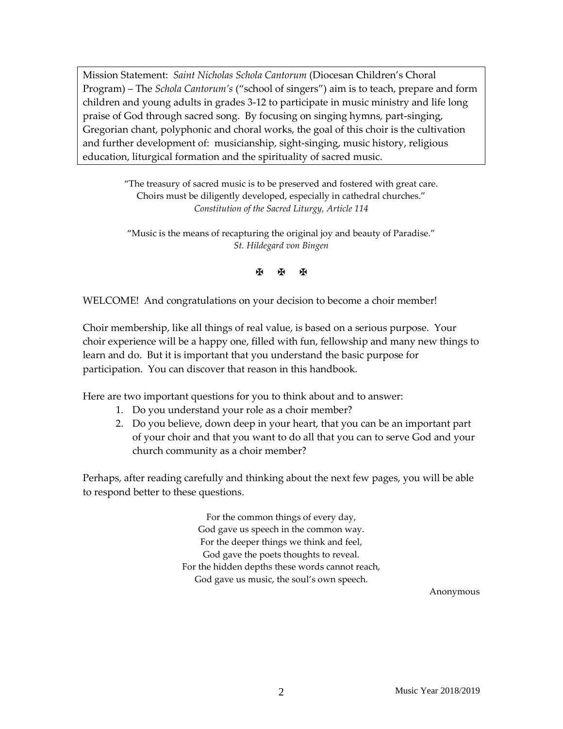Mission Statement: *Saint Nicholas Schola Cantorum* (Diocesan Children's Choral Program) – The *Schola Cantorum's* ("school of singers") aim is to teach, prepare and form children and young adults in grades 3-12 to participate in music ministry and life long praise of God through sacred song. By focusing on singing hymns, part-singing, Gregorian chant, polyphonic and choral works, the goal of this choir is the cultivation and further development of: musicianship, sight-singing, music history, religious education, liturgical formation and the spirituality of sacred music.

> "The treasury of sacred music is to be preserved and fostered with great care. Choirs must be diligently developed, especially in cathedral churches." *Constitution of the Sacred Liturgy, Article 114*

"Music is the means of recapturing the original joy and beauty of Paradise." *St. Hildegard von Bingen*

**K K K** 

WELCOME! And congratulations on your decision to become a choir member!

Choir membership, like all things of real value, is based on a serious purpose. Your choir experience will be a happy one, filled with fun, fellowship and many new things to learn and do. But it is important that you understand the basic purpose for participation. You can discover that reason in this handbook.

Here are two important questions for you to think about and to answer:

- 1. Do you understand your role as a choir member?
- 2. Do you believe, down deep in your heart, that you can be an important part of your choir and that you want to do all that you can to serve God and your church community as a choir member?

Perhaps, after reading carefully and thinking about the next few pages, you will be able to respond better to these questions.

> For the common things of every day, God gave us speech in the common way. For the deeper things we think and feel, God gave the poets thoughts to reveal. For the hidden depths these words cannot reach, God gave us music, the soul's own speech.

> > Anonymous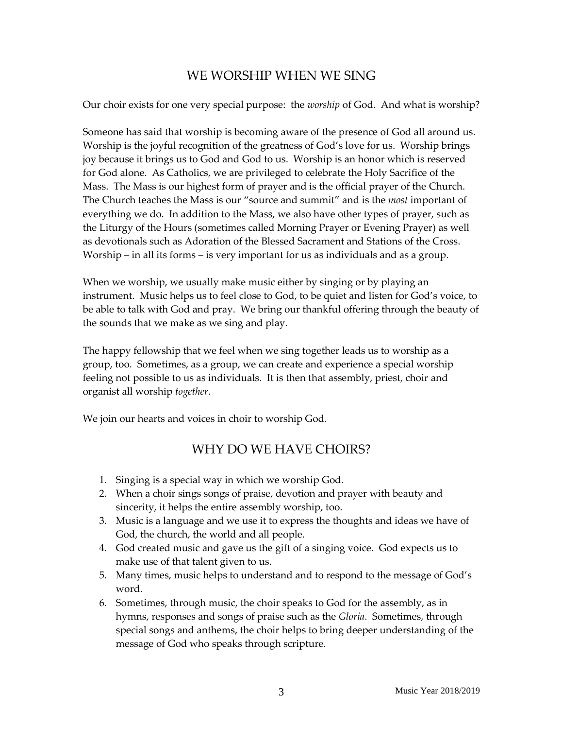## WE WORSHIP WHEN WE SING

Our choir exists for one very special purpose: the *worship* of God. And what is worship?

Someone has said that worship is becoming aware of the presence of God all around us. Worship is the joyful recognition of the greatness of God's love for us. Worship brings joy because it brings us to God and God to us. Worship is an honor which is reserved for God alone. As Catholics, we are privileged to celebrate the Holy Sacrifice of the Mass. The Mass is our highest form of prayer and is the official prayer of the Church. The Church teaches the Mass is our "source and summit" and is the *most* important of everything we do. In addition to the Mass, we also have other types of prayer, such as the Liturgy of the Hours (sometimes called Morning Prayer or Evening Prayer) as well as devotionals such as Adoration of the Blessed Sacrament and Stations of the Cross. Worship – in all its forms – is very important for us as individuals and as a group.

When we worship, we usually make music either by singing or by playing an instrument. Music helps us to feel close to God, to be quiet and listen for God's voice, to be able to talk with God and pray. We bring our thankful offering through the beauty of the sounds that we make as we sing and play.

The happy fellowship that we feel when we sing together leads us to worship as a group, too. Sometimes, as a group, we can create and experience a special worship feeling not possible to us as individuals. It is then that assembly, priest, choir and organist all worship *together*.

We join our hearts and voices in choir to worship God.

## WHY DO WE HAVE CHOIRS?

- 1. Singing is a special way in which we worship God.
- 2. When a choir sings songs of praise, devotion and prayer with beauty and sincerity, it helps the entire assembly worship, too.
- 3. Music is a language and we use it to express the thoughts and ideas we have of God, the church, the world and all people.
- 4. God created music and gave us the gift of a singing voice. God expects us to make use of that talent given to us.
- 5. Many times, music helps to understand and to respond to the message of God's word.
- 6. Sometimes, through music, the choir speaks to God for the assembly, as in hymns, responses and songs of praise such as the *Gloria*. Sometimes, through special songs and anthems, the choir helps to bring deeper understanding of the message of God who speaks through scripture.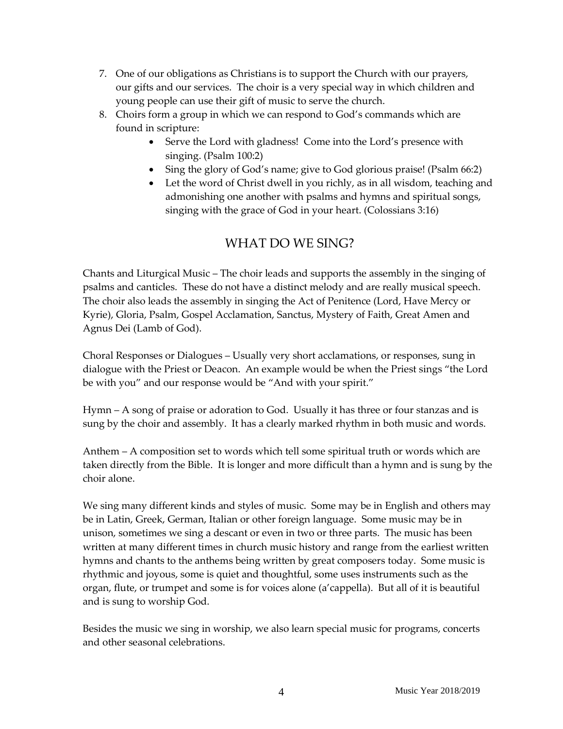- 7. One of our obligations as Christians is to support the Church with our prayers, our gifts and our services. The choir is a very special way in which children and young people can use their gift of music to serve the church.
- 8. Choirs form a group in which we can respond to God's commands which are found in scripture:
	- Serve the Lord with gladness! Come into the Lord's presence with singing. (Psalm 100:2)
	- Sing the glory of God's name; give to God glorious praise! (Psalm 66:2)
	- Let the word of Christ dwell in you richly, as in all wisdom, teaching and admonishing one another with psalms and hymns and spiritual songs, singing with the grace of God in your heart. (Colossians 3:16)

## WHAT DO WE SING?

Chants and Liturgical Music – The choir leads and supports the assembly in the singing of psalms and canticles. These do not have a distinct melody and are really musical speech. The choir also leads the assembly in singing the Act of Penitence (Lord, Have Mercy or Kyrie), Gloria, Psalm, Gospel Acclamation, Sanctus, Mystery of Faith, Great Amen and Agnus Dei (Lamb of God).

Choral Responses or Dialogues – Usually very short acclamations, or responses, sung in dialogue with the Priest or Deacon. An example would be when the Priest sings "the Lord be with you" and our response would be "And with your spirit."

Hymn – A song of praise or adoration to God. Usually it has three or four stanzas and is sung by the choir and assembly. It has a clearly marked rhythm in both music and words.

Anthem – A composition set to words which tell some spiritual truth or words which are taken directly from the Bible. It is longer and more difficult than a hymn and is sung by the choir alone.

We sing many different kinds and styles of music. Some may be in English and others may be in Latin, Greek, German, Italian or other foreign language. Some music may be in unison, sometimes we sing a descant or even in two or three parts. The music has been written at many different times in church music history and range from the earliest written hymns and chants to the anthems being written by great composers today. Some music is rhythmic and joyous, some is quiet and thoughtful, some uses instruments such as the organ, flute, or trumpet and some is for voices alone (a'cappella). But all of it is beautiful and is sung to worship God.

Besides the music we sing in worship, we also learn special music for programs, concerts and other seasonal celebrations.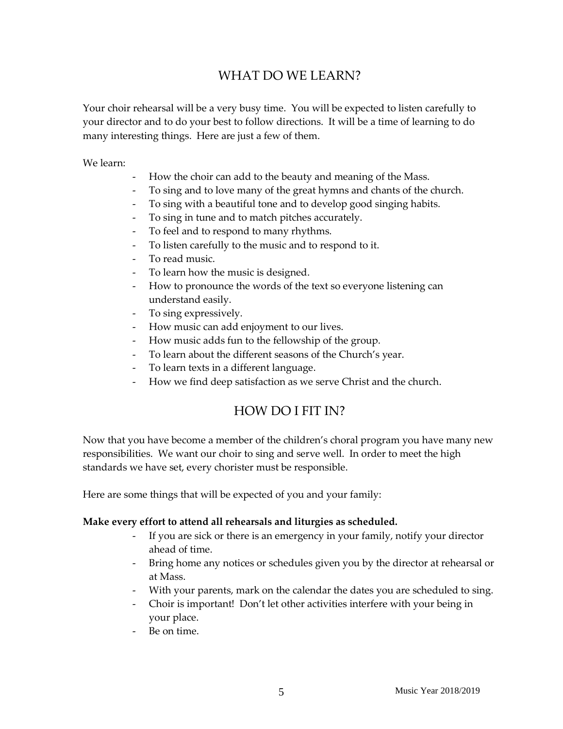## WHAT DO WE LEARN?

Your choir rehearsal will be a very busy time. You will be expected to listen carefully to your director and to do your best to follow directions. It will be a time of learning to do many interesting things. Here are just a few of them.

We learn:

- How the choir can add to the beauty and meaning of the Mass.
- To sing and to love many of the great hymns and chants of the church.
- To sing with a beautiful tone and to develop good singing habits.
- To sing in tune and to match pitches accurately.
- To feel and to respond to many rhythms.
- To listen carefully to the music and to respond to it.
- To read music.
- To learn how the music is designed.
- How to pronounce the words of the text so everyone listening can understand easily.
- To sing expressively.
- How music can add enjoyment to our lives.
- How music adds fun to the fellowship of the group.
- To learn about the different seasons of the Church's year.
- To learn texts in a different language.
- How we find deep satisfaction as we serve Christ and the church.

### HOW DO I FIT IN?

Now that you have become a member of the children's choral program you have many new responsibilities. We want our choir to sing and serve well. In order to meet the high standards we have set, every chorister must be responsible.

Here are some things that will be expected of you and your family:

#### **Make every effort to attend all rehearsals and liturgies as scheduled.**

- If you are sick or there is an emergency in your family, notify your director ahead of time.
- Bring home any notices or schedules given you by the director at rehearsal or at Mass.
- With your parents, mark on the calendar the dates you are scheduled to sing.
- Choir is important! Don't let other activities interfere with your being in your place.
- Be on time.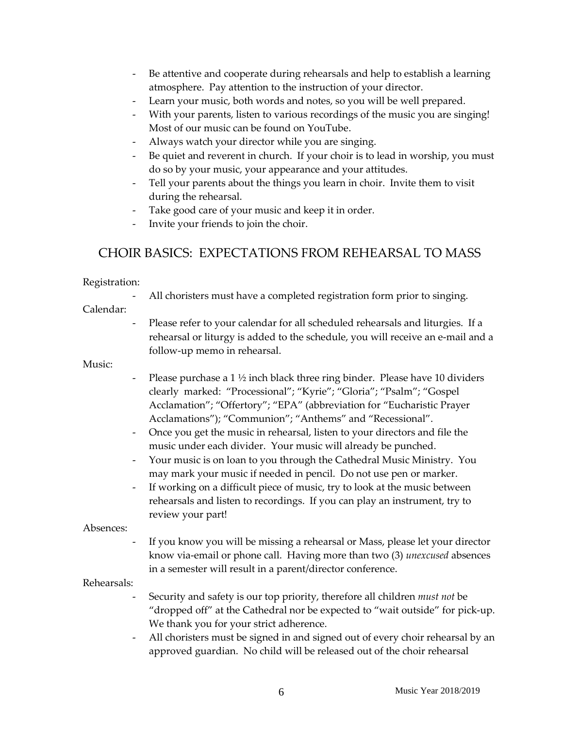- Be attentive and cooperate during rehearsals and help to establish a learning atmosphere. Pay attention to the instruction of your director.
- Learn your music, both words and notes, so you will be well prepared.
- With your parents, listen to various recordings of the music you are singing! Most of our music can be found on YouTube.
- Always watch your director while you are singing.
- Be quiet and reverent in church. If your choir is to lead in worship, you must do so by your music, your appearance and your attitudes.
- Tell your parents about the things you learn in choir. Invite them to visit during the rehearsal.
- Take good care of your music and keep it in order.
- Invite your friends to join the choir.

## CHOIR BASICS: EXPECTATIONS FROM REHEARSAL TO MASS

#### Registration:

All choristers must have a completed registration form prior to singing.

#### Calendar:

- Please refer to your calendar for all scheduled rehearsals and liturgies. If a rehearsal or liturgy is added to the schedule, you will receive an e-mail and a follow-up memo in rehearsal.

#### Music:

- Please purchase a 1  $\frac{1}{2}$  inch black three ring binder. Please have 10 dividers clearly marked: "Processional"; "Kyrie"; "Gloria"; "Psalm"; "Gospel Acclamation"; "Offertory"; "EPA" (abbreviation for "Eucharistic Prayer Acclamations"); "Communion"; "Anthems" and "Recessional".
- Once you get the music in rehearsal, listen to your directors and file the music under each divider. Your music will already be punched.
- Your music is on loan to you through the Cathedral Music Ministry. You may mark your music if needed in pencil. Do not use pen or marker.
- If working on a difficult piece of music, try to look at the music between rehearsals and listen to recordings. If you can play an instrument, try to review your part!

#### Absences:

If you know you will be missing a rehearsal or Mass, please let your director know via-email or phone call. Having more than two (3) *unexcused* absences in a semester will result in a parent/director conference.

#### Rehearsals:

- Security and safety is our top priority, therefore all children *must not* be "dropped off" at the Cathedral nor be expected to "wait outside" for pick-up. We thank you for your strict adherence.
- All choristers must be signed in and signed out of every choir rehearsal by an approved guardian. No child will be released out of the choir rehearsal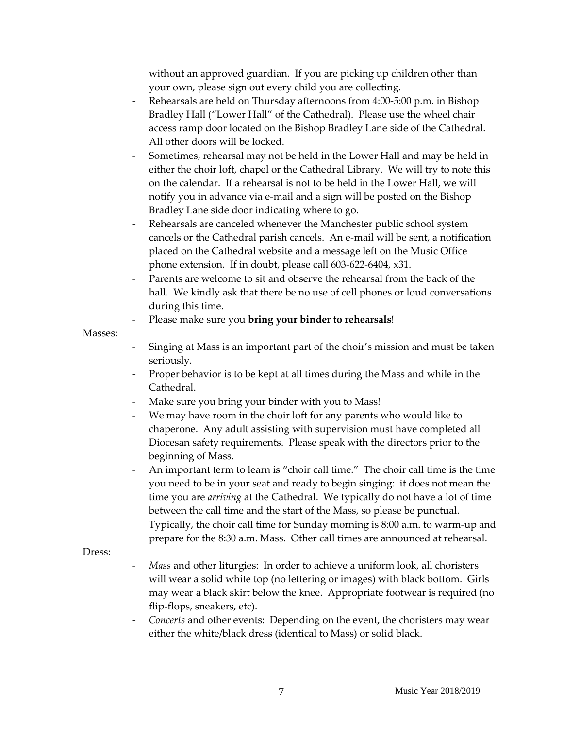without an approved guardian. If you are picking up children other than your own, please sign out every child you are collecting.

- Rehearsals are held on Thursday afternoons from 4:00-5:00 p.m. in Bishop Bradley Hall ("Lower Hall" of the Cathedral). Please use the wheel chair access ramp door located on the Bishop Bradley Lane side of the Cathedral. All other doors will be locked.
- Sometimes, rehearsal may not be held in the Lower Hall and may be held in either the choir loft, chapel or the Cathedral Library. We will try to note this on the calendar. If a rehearsal is not to be held in the Lower Hall, we will notify you in advance via e-mail and a sign will be posted on the Bishop Bradley Lane side door indicating where to go.
- Rehearsals are canceled whenever the Manchester public school system cancels or the Cathedral parish cancels. An e-mail will be sent, a notification placed on the Cathedral website and a message left on the Music Office phone extension. If in doubt, please call 603-622-6404, x31.
- Parents are welcome to sit and observe the rehearsal from the back of the hall. We kindly ask that there be no use of cell phones or loud conversations during this time.
	- Please make sure you **bring your binder to rehearsals**!

#### Masses:

- Singing at Mass is an important part of the choir's mission and must be taken seriously.
- Proper behavior is to be kept at all times during the Mass and while in the Cathedral.
- Make sure you bring your binder with you to Mass!
- We may have room in the choir loft for any parents who would like to chaperone. Any adult assisting with supervision must have completed all Diocesan safety requirements. Please speak with the directors prior to the beginning of Mass.
- An important term to learn is "choir call time." The choir call time is the time you need to be in your seat and ready to begin singing: it does not mean the time you are *arriving* at the Cathedral. We typically do not have a lot of time between the call time and the start of the Mass, so please be punctual. Typically, the choir call time for Sunday morning is 8:00 a.m. to warm-up and prepare for the 8:30 a.m. Mass. Other call times are announced at rehearsal.

#### Dress:

- *Mass* and other liturgies: In order to achieve a uniform look, all choristers will wear a solid white top (no lettering or images) with black bottom. Girls may wear a black skirt below the knee. Appropriate footwear is required (no flip-flops, sneakers, etc).
- *Concerts* and other events: Depending on the event, the choristers may wear either the white/black dress (identical to Mass) or solid black.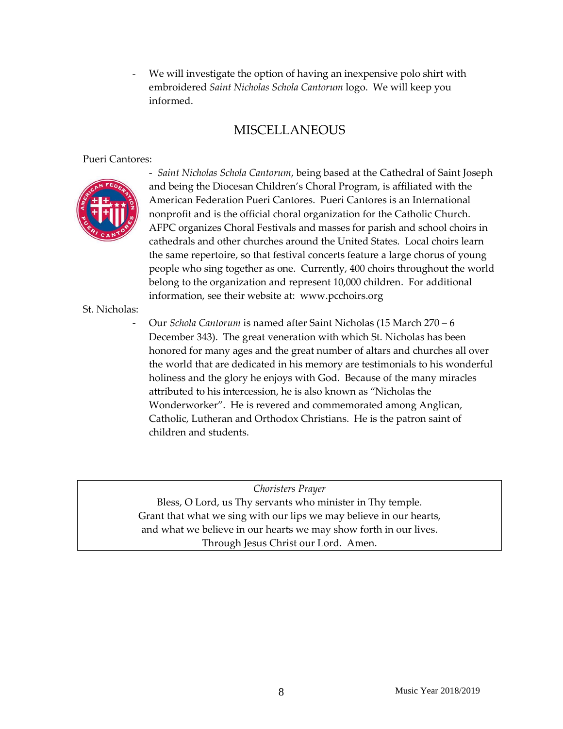We will investigate the option of having an inexpensive polo shirt with embroidered *Saint Nicholas Schola Cantorum* logo. We will keep you informed.

## **MISCELLANEOUS**

#### Pueri Cantores:



- *Saint Nicholas Schola Cantorum*, being based at the Cathedral of Saint Joseph and being the Diocesan Children's Choral Program, is affiliated with the American Federation Pueri Cantores. Pueri Cantores is an International nonprofit and is the official choral organization for the Catholic Church. AFPC organizes Choral Festivals and masses for parish and school choirs in cathedrals and other churches around the United States. Local choirs learn the same repertoire, so that festival concerts feature a large chorus of young people who sing together as one. Currently, 400 choirs throughout the world belong to the organization and represent 10,000 children. For additional information, see their website at: www.pcchoirs.org

St. Nicholas:

- Our *Schola Cantorum* is named after Saint Nicholas (15 March 270 – 6 December 343). The great veneration with which St. Nicholas has been honored for many ages and the great number of altars and churches all over the world that are dedicated in his memory are testimonials to his wonderful holiness and the glory he enjoys with God. Because of the many miracles attributed to his intercession, he is also known as "Nicholas the Wonderworker". He is revered and commemorated among Anglican, Catholic, Lutheran and Orthodox Christians. He is the patron saint of children and students.

*Choristers Prayer* Bless, O Lord, us Thy servants who minister in Thy temple. Grant that what we sing with our lips we may believe in our hearts, and what we believe in our hearts we may show forth in our lives. Through Jesus Christ our Lord. Amen.